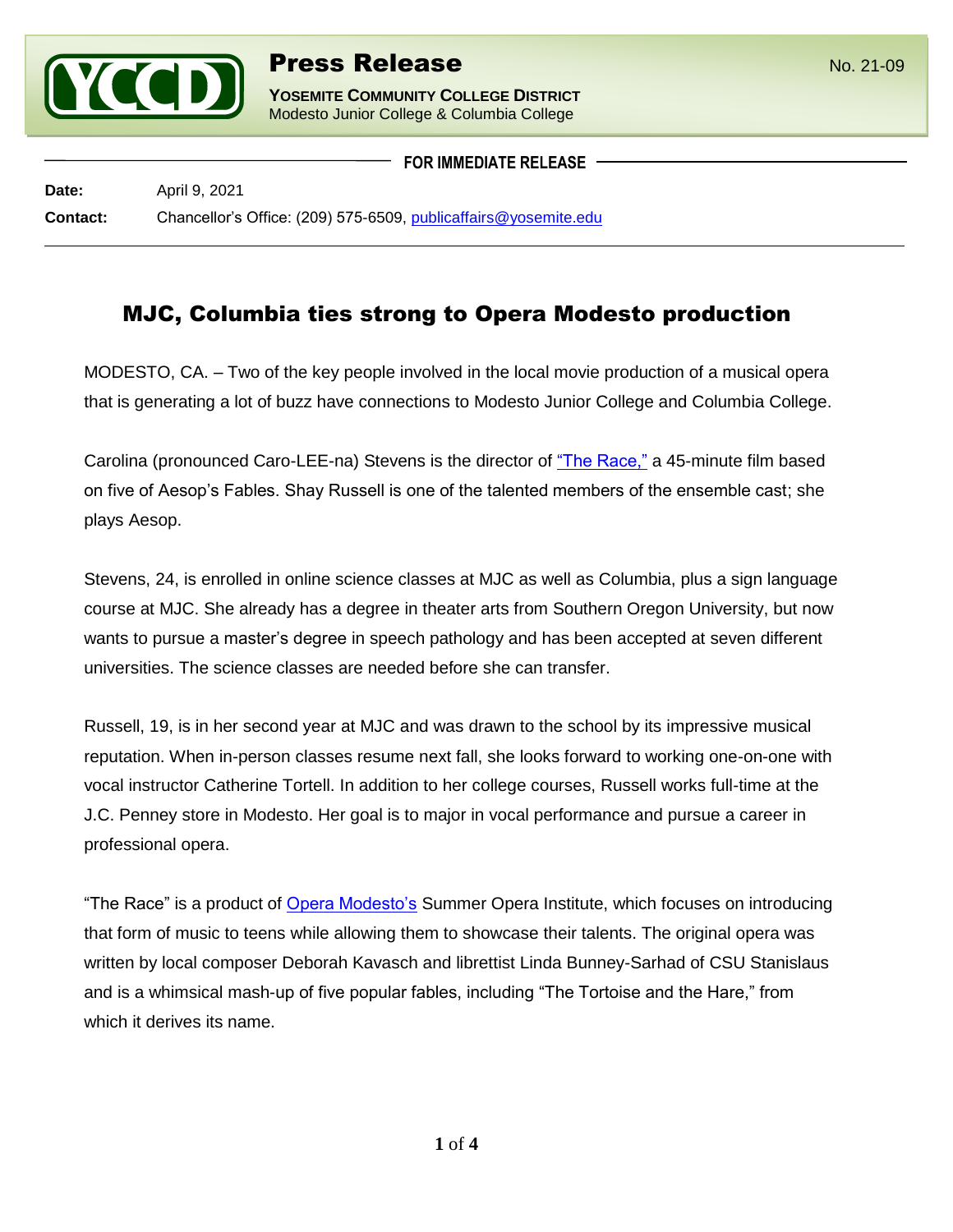

l

**YOSEMITE COMMUNITY COLLEGE DISTRICT** Modesto Junior College & Columbia College

**FOR IMMEDIATE RELEASE**

**Date:** April 9, 2021 **Contact:** Chancellor's Office: (209) 575-6509, [publicaffairs@yosemite.edu](mailto:publicaffairs@yosemite.edu)

## MJC, Columbia ties strong to Opera Modesto production

MODESTO, CA. – Two of the key people involved in the local movie production of a musical opera that is generating a lot of buzz have connections to Modesto Junior College and Columbia College.

Carolina (pronounced Caro-LEE-na) Stevens is the director of ["The Race,"](https://www.operamodesto.org/2020/08/24/the-race-january-2021/) a 45-minute film based on five of Aesop's Fables. Shay Russell is one of the talented members of the ensemble cast; she plays Aesop.

Stevens, 24, is enrolled in online science classes at MJC as well as Columbia, plus a sign language course at MJC. She already has a degree in theater arts from Southern Oregon University, but now wants to pursue a master's degree in speech pathology and has been accepted at seven different universities. The science classes are needed before she can transfer.

Russell, 19, is in her second year at MJC and was drawn to the school by its impressive musical reputation. When in-person classes resume next fall, she looks forward to working one-on-one with vocal instructor Catherine Tortell. In addition to her college courses, Russell works full-time at the J.C. Penney store in Modesto. Her goal is to major in vocal performance and pursue a career in professional opera.

"The Race" is a product of [Opera Modesto's](https://www.operamodesto.org/) Summer Opera Institute, which focuses on introducing that form of music to teens while allowing them to showcase their talents. The original opera was written by local composer Deborah Kavasch and librettist Linda Bunney-Sarhad of CSU Stanislaus and is a whimsical mash-up of five popular fables, including "The Tortoise and the Hare," from which it derives its name.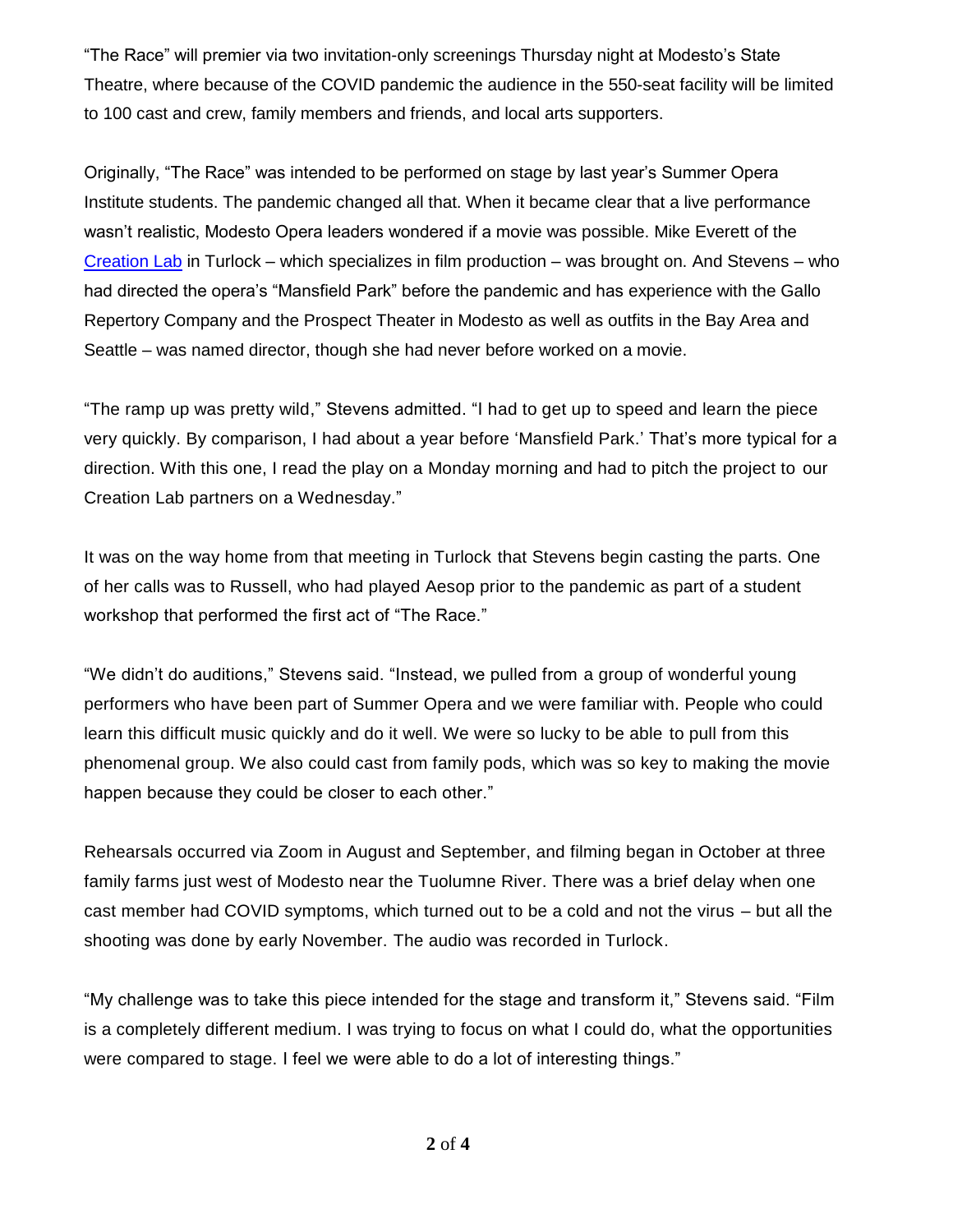"The Race" will premier via two invitation-only screenings Thursday night at Modesto's State Theatre, where because of the COVID pandemic the audience in the 550-seat facility will be limited to 100 cast and crew, family members and friends, and local arts supporters.

Originally, "The Race" was intended to be performed on stage by last year's Summer Opera Institute students. The pandemic changed all that. When it became clear that a live performance wasn't realistic, Modesto Opera leaders wondered if a movie was possible. Mike Everett of the [Creation Lab](http://thecreationlab.com/) in Turlock – which specializes in film production – was brought on. And Stevens – who had directed the opera's "Mansfield Park" before the pandemic and has experience with the Gallo Repertory Company and the Prospect Theater in Modesto as well as outfits in the Bay Area and Seattle – was named director, though she had never before worked on a movie.

"The ramp up was pretty wild," Stevens admitted. "I had to get up to speed and learn the piece very quickly. By comparison, I had about a year before 'Mansfield Park.' That's more typical for a direction. With this one, I read the play on a Monday morning and had to pitch the project to our Creation Lab partners on a Wednesday."

It was on the way home from that meeting in Turlock that Stevens begin casting the parts. One of her calls was to Russell, who had played Aesop prior to the pandemic as part of a student workshop that performed the first act of "The Race."

"We didn't do auditions," Stevens said. "Instead, we pulled from a group of wonderful young performers who have been part of Summer Opera and we were familiar with. People who could learn this difficult music quickly and do it well. We were so lucky to be able to pull from this phenomenal group. We also could cast from family pods, which was so key to making the movie happen because they could be closer to each other."

Rehearsals occurred via Zoom in August and September, and filming began in October at three family farms just west of Modesto near the Tuolumne River. There was a brief delay when one cast member had COVID symptoms, which turned out to be a cold and not the virus – but all the shooting was done by early November. The audio was recorded in Turlock.

"My challenge was to take this piece intended for the stage and transform it," Stevens said. "Film is a completely different medium. I was trying to focus on what I could do, what the opportunities were compared to stage. I feel we were able to do a lot of interesting things."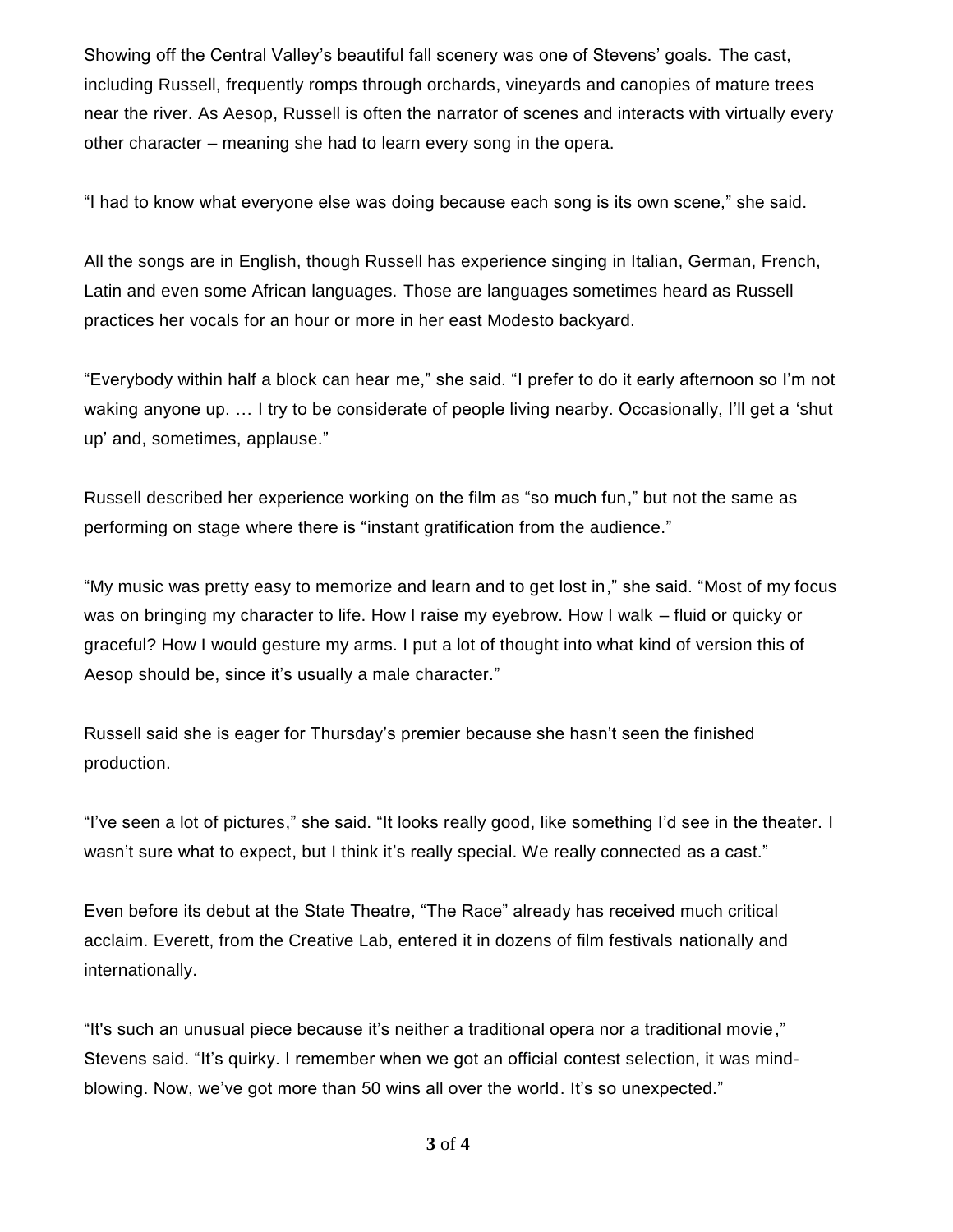Showing off the Central Valley's beautiful fall scenery was one of Stevens' goals. The cast, including Russell, frequently romps through orchards, vineyards and canopies of mature trees near the river. As Aesop, Russell is often the narrator of scenes and interacts with virtually every other character – meaning she had to learn every song in the opera.

"I had to know what everyone else was doing because each song is its own scene," she said.

All the songs are in English, though Russell has experience singing in Italian, German, French, Latin and even some African languages. Those are languages sometimes heard as Russell practices her vocals for an hour or more in her east Modesto backyard.

"Everybody within half a block can hear me," she said. "I prefer to do it early afternoon so I'm not waking anyone up. ... I try to be considerate of people living nearby. Occasionally, I'll get a 'shut up' and, sometimes, applause."

Russell described her experience working on the film as "so much fun," but not the same as performing on stage where there is "instant gratification from the audience."

"My music was pretty easy to memorize and learn and to get lost in," she said. "Most of my focus was on bringing my character to life. How I raise my eyebrow. How I walk – fluid or quicky or graceful? How I would gesture my arms. I put a lot of thought into what kind of version this of Aesop should be, since it's usually a male character."

Russell said she is eager for Thursday's premier because she hasn't seen the finished production.

"I've seen a lot of pictures," she said. "It looks really good, like something I'd see in the theater. I wasn't sure what to expect, but I think it's really special. We really connected as a cast."

Even before its debut at the State Theatre, "The Race" already has received much critical acclaim. Everett, from the Creative Lab, entered it in dozens of film festivals nationally and internationally.

"It's such an unusual piece because it's neither a traditional opera nor a traditional movie," Stevens said. "It's quirky. I remember when we got an official contest selection, it was mindblowing. Now, we've got more than 50 wins all over the world. It's so unexpected."

**3** of **4**